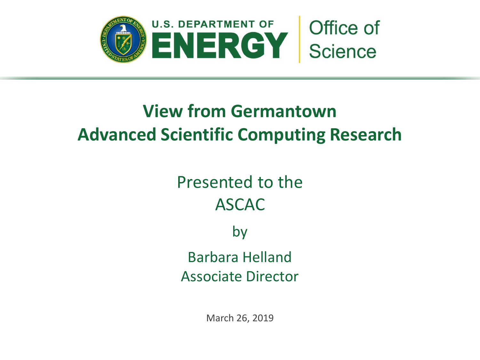

# **View from Germantown Advanced Scientific Computing Research**

# Presented to the ASCAC

by

Barbara Helland Associate Director

March 26, 2019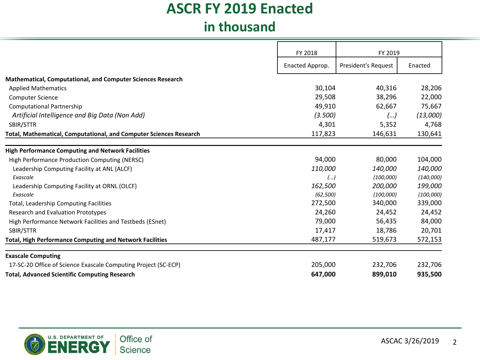### **ASCR FY 2019 Enacted in thousand**

|                                                                    | FY 2018         | FY 2019             |           |
|--------------------------------------------------------------------|-----------------|---------------------|-----------|
|                                                                    | Enacted Approp. | President's Request | Enacted   |
| <b>Mathematical, Computational, and Computer Sciences Research</b> |                 |                     |           |
| <b>Applied Mathematics</b>                                         | 30,104          | 40,316              | 28,206    |
| <b>Computer Science</b>                                            | 29,508          | 38,296              | 22,000    |
| <b>Computational Partnership</b>                                   | 49,910          | 62,667              | 75,667    |
| Artificial Intelligence and Big Data (Non Add)                     | (3.500)         | ()                  | (13,000)  |
| SBIR/STTR                                                          | 4,301           | 5,352               | 4,768     |
| Total, Mathematical, Computational, and Computer Sciences Research | 117,823         | 146,631             | 130,641   |
| <b>High Performance Computing and Network Facilities</b>           |                 |                     |           |
| High Performance Production Computing (NERSC)                      | 94,000          | 80,000              | 104,000   |
| Leadership Computing Facility at ANL (ALCF)                        | 110,000         | 140,000             | 140,000   |
| Exascale                                                           | ()              | (100,000)           | (140,000) |
| Leadership Computing Facility at ORNL (OLCF)                       | 162,500         | 200,000             | 199,000   |
| Exascale                                                           | (62, 500)       | (100,000)           | (100,000) |
| Total, Leadership Computing Facilities                             | 272,500         | 340,000             | 339,000   |
| Research and Evaluation Prototypes                                 | 24,260          | 24,452              | 24,452    |
| High Performance Network Facilities and Testbeds (ESnet)           | 79,000          | 56,435              | 84,000    |
| SBIR/STTR                                                          | 17,417          | 18,786              | 20,701    |
| <b>Total, High Performance Computing and Network Facilities</b>    | 487,177         | 519,673             | 572,153   |
| <b>Exascale Computing</b>                                          |                 |                     |           |
| 17-SC-20 Office of Science Exascale Computing Project (SC-ECP)     | 205,000         | 232,706             | 232,706   |
| <b>Total, Advanced Scientific Computing Research</b>               | 647,000         | 899,010             | 935,500   |

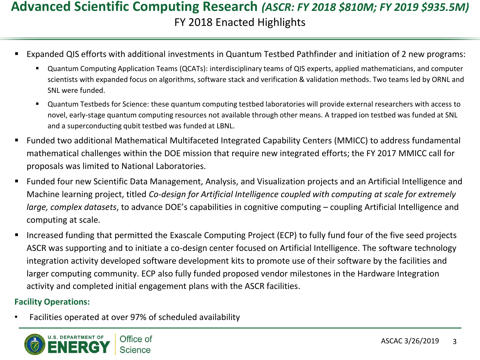### **Advanced Scientific Computing Research** *(ASCR: FY 2018 \$810M; FY 2019 \$935.5M)*  FY 2018 Enacted Highlights

- Expanded QIS efforts with additional investments in Quantum Testbed Pathfinder and initiation of 2 new programs:
	- Quantum Computing Application Teams (QCATs): interdisciplinary teams of QIS experts, applied mathematicians, and computer scientists with expanded focus on algorithms, software stack and verification & validation methods. Two teams led by ORNL and SNL were funded.
	- Quantum Testbeds for Science: these quantum computing testbed laboratories will provide external researchers with access to novel, early-stage quantum computing resources not available through other means. A trapped ion testbed was funded at SNL and a superconducting qubit testbed was funded at LBNL.
- Funded two additional Mathematical Multifaceted Integrated Capability Centers (MMICC) to address fundamental mathematical challenges within the DOE mission that require new integrated efforts; the FY 2017 MMICC call for proposals was limited to National Laboratories.
- Funded four new Scientific Data Management, Analysis, and Visualization projects and an Artificial Intelligence and Machine learning project, titled *Co-design for Artificial Intelligence coupled with computing at scale for extremely large, complex datasets*, to advance DOE's capabilities in cognitive computing – coupling Artificial Intelligence and computing at scale.
- Increased funding that permitted the Exascale Computing Project (ECP) to fully fund four of the five seed projects ASCR was supporting and to initiate a co-design center focused on Artificial Intelligence. The software technology integration activity developed software development kits to promote use of their software by the facilities and larger computing community. ECP also fully funded proposed vendor milestones in the Hardware Integration activity and completed initial engagement plans with the ASCR facilities.

#### **Facility Operations:**

• Facilities operated at over 97% of scheduled availability

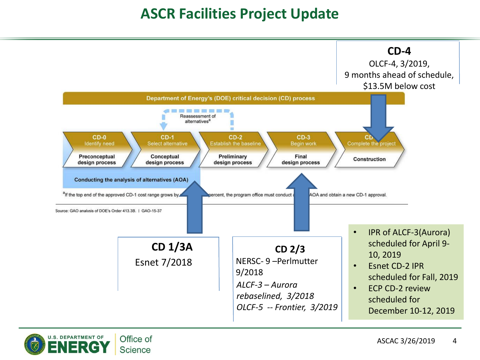### **ASCR Facilities Project Update**



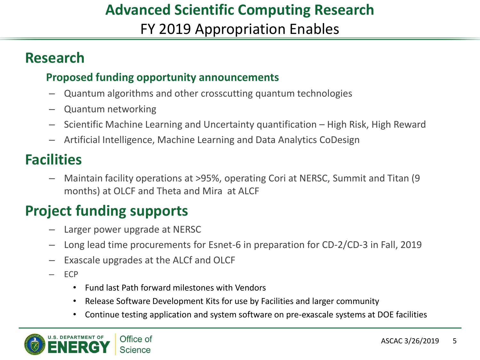### **Advanced Scientific Computing Research** FY 2019 Appropriation Enables

### **Research**

#### **Proposed funding opportunity announcements**

- Quantum algorithms and other crosscutting quantum technologies
- Quantum networking
- Scientific Machine Learning and Uncertainty quantification High Risk, High Reward
- Artificial Intelligence, Machine Learning and Data Analytics CoDesign

## **Facilities**

– Maintain facility operations at >95%, operating Cori at NERSC, Summit and Titan (9 months) at OLCF and Theta and Mira at ALCF

## **Project funding supports**

- Larger power upgrade at NERSC
- Long lead time procurements for Esnet-6 in preparation for CD-2/CD-3 in Fall, 2019
- Exascale upgrades at the ALCf and OLCF
- ECP
	- Fund last Path forward milestones with Vendors
	- Release Software Development Kits for use by Facilities and larger community
	- Continue testing application and system software on pre-exascale systems at DOE facilities

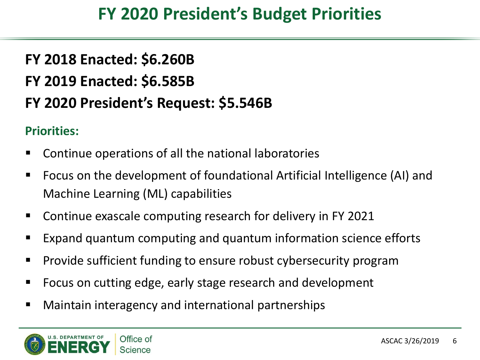## **FY 2020 President's Budget Priorities**

# **FY 2018 Enacted: \$6.260B FY 2019 Enacted: \$6.585B FY 2020 President's Request: \$5.546B**

### **Priorities:**

- Continue operations of all the national laboratories
- Focus on the development of foundational Artificial Intelligence (AI) and Machine Learning (ML) capabilities
- Continue exascale computing research for delivery in FY 2021
- Expand quantum computing and quantum information science efforts
- Provide sufficient funding to ensure robust cybersecurity program
- Focus on cutting edge, early stage research and development
- Maintain interagency and international partnerships

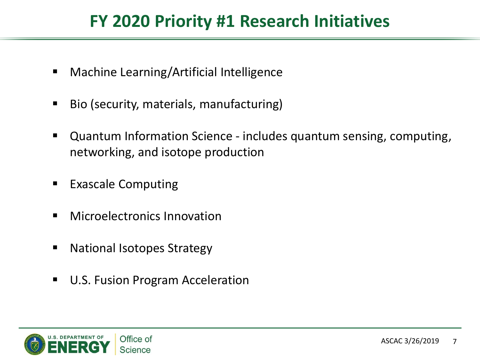## **FY 2020 Priority #1 Research Initiatives**

- Machine Learning/Artificial Intelligence
- Bio (security, materials, manufacturing)
- Quantum Information Science includes quantum sensing, computing, networking, and isotope production
- **Exascale Computing**
- **Nicroelectronics Innovation**
- National Isotopes Strategy
- U.S. Fusion Program Acceleration

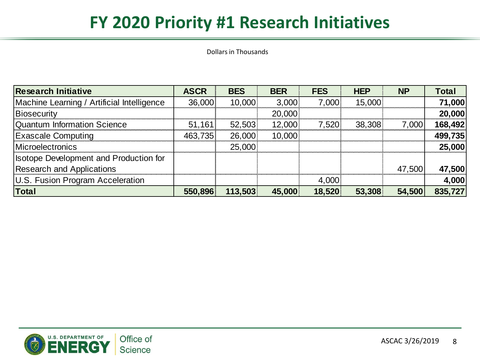## **FY 2020 Priority #1 Research Initiatives**

Dollars in Thousands

| <b>Research Initiative</b>                    | <b>ASCR</b> | <b>BES</b> | <b>BER</b> | <b>FES</b> | <b>HEP</b> | <b>NP</b> | <b>Total</b> |
|-----------------------------------------------|-------------|------------|------------|------------|------------|-----------|--------------|
| Machine Learning / Artificial Intelligence    | 36,000      | 10,000     | 3,000      | 7,000      | 15,000     |           | 71,000       |
| Biosecurity                                   |             |            | 20,000     |            |            |           | 20,000       |
| Quantum Information Science                   | 51,161      | 52,503     | 12,000     | 7,520      | 38,308     | 7,000     | 168,492      |
| <b>Exascale Computing</b>                     | 463,735     | 26,000     | 10,000     |            |            |           | 499,735      |
| <b>IMicroelectronics</b>                      |             | 25,000     |            |            |            |           | 25,000       |
| <b>Isotope Development and Production for</b> |             |            |            |            |            |           |              |
| <b>Research and Applications</b>              |             |            |            |            |            | 47,500    | 47,500       |
| U.S. Fusion Program Acceleration              |             |            |            | 4,000      |            |           | 4,000        |
| <b>Total</b>                                  | 550,896     | 113,503    | 45,000     | 18,520     | 53,308     | 54,500    | 835,727      |

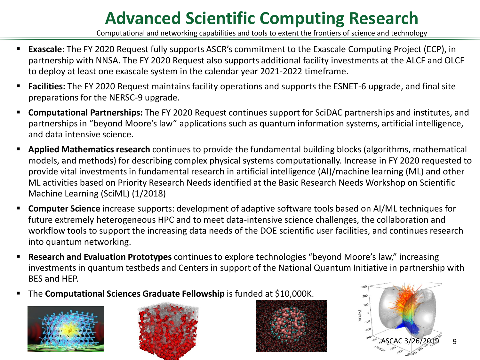# **Advanced Scientific Computing Research**

Computational and networking capabilities and tools to extent the frontiers of science and technology

- **Exascale:** The FY 2020 Request fully supports ASCR's commitment to the Exascale Computing Project (ECP), in partnership with NNSA. The FY 2020 Request also supports additional facility investments at the ALCF and OLCF to deploy at least one exascale system in the calendar year 2021-2022 timeframe.
- **Facilities:** The FY 2020 Request maintains facility operations and supports the ESNET-6 upgrade, and final site preparations for the NERSC-9 upgrade.
- **Computational Partnerships:** The FY 2020 Request continues support for SciDAC partnerships and institutes, and partnerships in "beyond Moore's law" applications such as quantum information systems, artificial intelligence, and data intensive science.
- **Applied Mathematics research** continues to provide the fundamental building blocks (algorithms, mathematical models, and methods) for describing complex physical systems computationally. Increase in FY 2020 requested to provide vital investments in fundamental research in artificial intelligence (AI)/machine learning (ML) and other ML activities based on Priority Research Needs identified at the Basic Research Needs Workshop on Scientific Machine Learning (SciML) (1/2018)
- **Computer Science** increase supports: development of adaptive software tools based on AI/ML techniques for future extremely heterogeneous HPC and to meet data-intensive science challenges, the collaboration and workflow tools to support the increasing data needs of the DOE scientific user facilities, and continues research into quantum networking.
- **Research and Evaluation Prototypes** continues to explore technologies "beyond Moore's law," increasing investments in quantum testbeds and Centers in support of the National Quantum Initiative in partnership with BES and HEP.
- **The Computational Sciences Graduate Fellowship** is funded at \$10,000K.







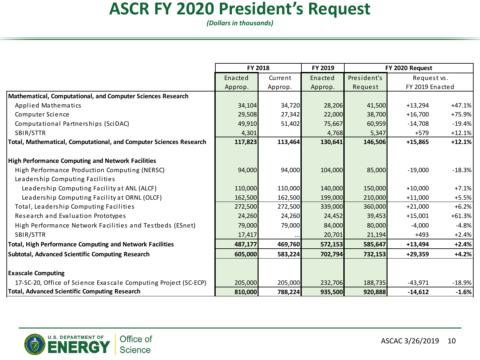## **ASCR FY 2020 President's Request**

*(Dollars in thousands)*

|                                                                    | FY 2018 |         | FY 2019 | FY 2020 Request |                 |          |
|--------------------------------------------------------------------|---------|---------|---------|-----------------|-----------------|----------|
|                                                                    | Enacted | Current | Enacted | President's     | Request vs.     |          |
|                                                                    | Approp. | Approp. | Approp. | Request         | FY 2019 Enacted |          |
| Mathematical, Computational, and Computer Sciences Research        |         |         |         |                 |                 |          |
| Applied Mathematics                                                | 34,104  | 34,720  | 28,206  | 41,500          | $+13,294$       | $+47.1%$ |
| Computer Science                                                   | 29,508  | 27,342  | 22,000  | 38,700          | $+16,700$       | +75.9%   |
| Computational Partnerships (SciDAC)                                | 49,910  | 51,402  | 75,667  | 60,959          | $-14,708$       | $-19.4%$ |
| SBIR/STTR                                                          | 4,301   |         | 4,768   | 5,347           | $+579$          | $+12.1%$ |
| Total, Mathematical, Computational, and Computer Sciences Research | 117,823 | 113,464 | 130,641 | 146,506         | $+15,865$       | $+12.1%$ |
| <b>High Performance Computing and Network Facilities</b>           |         |         |         |                 |                 |          |
| High Performance Production Computing (NERSC)                      | 94,000  | 94,000  | 104,000 | 85,000          | $-19,000$       | $-18.3%$ |
| Leadership Computing Facilities                                    |         |         |         |                 |                 |          |
| Leadership Computing Facility at ANL (ALCF)                        | 110,000 | 110,000 | 140,000 | 150,000         | $+10,000$       | $+7.1%$  |
| Leadership Computing Facility at ORNL (OLCF)                       | 162,500 | 162,500 | 199,000 | 210,000         | $+11,000$       | $+5.5%$  |
| Total, Leadership Computing Facilities                             | 272,500 | 272,500 | 339,000 | 360,000         | $+21,000$       | $+6.2%$  |
| Research and Evaluation Prototypes                                 | 24,260  | 24,260  | 24,452  | 39,453          | $+15,001$       | $+61.3%$ |
| High Performance Network Facilities and Testbeds (ESnet)           | 79,000  | 79,000  | 84,000  | 80,000          | $-4,000$        | $-4.8%$  |
| SBIR/STTR                                                          | 17,417  |         | 20,701  | 21,194          | $+493$          | $+2.4%$  |
| <b>Total, High Performance Computing and Network Facilities</b>    | 487,177 | 469,760 | 572,153 | 585,647         | $+13,494$       | $+2.4%$  |
| <b>Subtotal, Advanced Scientific Computing Research</b>            | 605,000 | 583,224 | 702,794 | 732,153         | $+29,359$       | $+4.2%$  |
| <b>Exascale Computing</b>                                          |         |         |         |                 |                 |          |
| 17-SC-20, Office of Science Exascale Computing Project (SC-ECP)    | 205,000 | 205,000 | 232,706 | 188,735         | $-43,971$       | $-18.9%$ |
| <b>Total, Advanced Scientific Computing Research</b>               | 810,000 | 788,224 | 935,500 | 920,888         | $-14,612$       | $-1.6%$  |

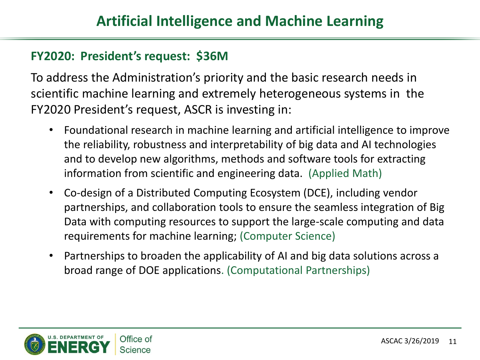#### **FY2020: President's request: \$36M**

To address the Administration's priority and the basic research needs in scientific machine learning and extremely heterogeneous systems in the FY2020 President's request, ASCR is investing in:

- Foundational research in machine learning and artificial intelligence to improve the reliability, robustness and interpretability of big data and AI technologies and to develop new algorithms, methods and software tools for extracting information from scientific and engineering data. (Applied Math)
- Co-design of a Distributed Computing Ecosystem (DCE), including vendor partnerships, and collaboration tools to ensure the seamless integration of Big Data with computing resources to support the large-scale computing and data requirements for machine learning; (Computer Science)
- Partnerships to broaden the applicability of AI and big data solutions across a broad range of DOE applications. (Computational Partnerships)

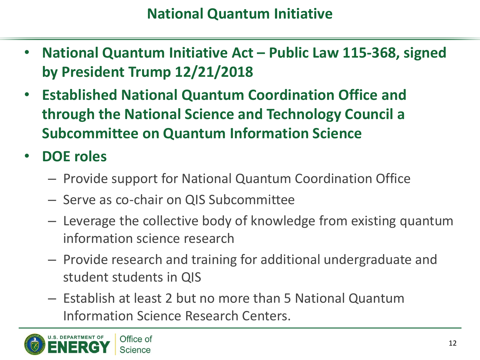- **National Quantum Initiative Act – Public Law 115-368, signed by President Trump 12/21/2018**
- **Established National Quantum Coordination Office and through the National Science and Technology Council a Subcommittee on Quantum Information Science**
- **DOE roles**
	- Provide support for National Quantum Coordination Office
	- Serve as co-chair on QIS Subcommittee
	- Leverage the collective body of knowledge from existing quantum information science research
	- Provide research and training for additional undergraduate and student students in QIS
	- Establish at least 2 but no more than 5 National Quantum Information Science Research Centers.

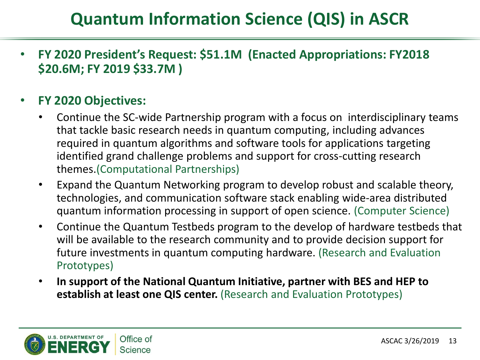# **Quantum Information Science (QIS) in ASCR**

• **FY 2020 President's Request: \$51.1M (Enacted Appropriations: FY2018 \$20.6M; FY 2019 \$33.7M )**

#### • **FY 2020 Objectives:**

- Continue the SC-wide Partnership program with a focus on interdisciplinary teams that tackle basic research needs in quantum computing, including advances required in quantum algorithms and software tools for applications targeting identified grand challenge problems and support for cross-cutting research themes.(Computational Partnerships)
- Expand the Quantum Networking program to develop robust and scalable theory, technologies, and communication software stack enabling wide-area distributed quantum information processing in support of open science. (Computer Science)
- Continue the Quantum Testbeds program to the develop of hardware testbeds that will be available to the research community and to provide decision support for future investments in quantum computing hardware. (Research and Evaluation Prototypes)
- **In support of the National Quantum Initiative, partner with BES and HEP to establish at least one QIS center.** (Research and Evaluation Prototypes)

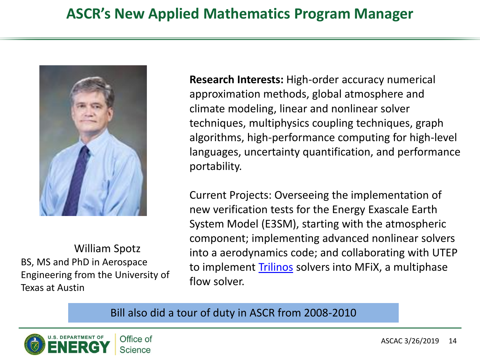### **ASCR's New Applied Mathematics Program Manager**



William Spotz BS, MS and PhD in Aerospace Engineering from the University of Texas at Austin

**Research Interests:** High-order accuracy numerical approximation methods, global atmosphere and climate modeling, linear and nonlinear solver techniques, multiphysics coupling techniques, graph algorithms, high-performance computing for high-level languages, uncertainty quantification, and performance portability.

Current Projects: Overseeing the implementation of new verification tests for the Energy Exascale Earth System Model (E3SM), starting with the atmospheric component; implementing advanced nonlinear solvers into a aerodynamics code; and collaborating with UTEP to implement [Trilinos](http://trilinos.sandia.gov/) solvers into MFiX, a multiphase flow solver.

#### Bill also did a tour of duty in ASCR from 2008-2010

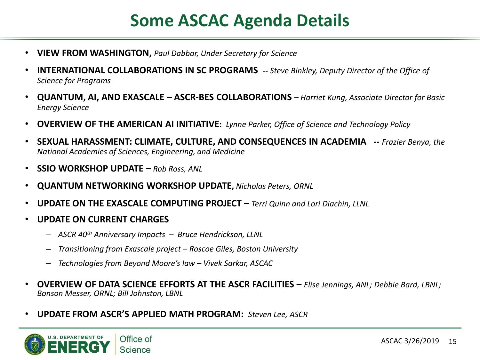## **Some ASCAC Agenda Details**

- **VIEW FROM WASHINGTON,** *Paul Dabbar, Under Secretary for Science*
- **INTERNATIONAL COLLABORATIONS IN SC PROGRAMS --** *Steve Binkley, Deputy Director of the Office of Science for Programs*
- **QUANTUM, AI, AND EXASCALE – ASCR-BES COLLABORATIONS** *– Harriet Kung, Associate Director for Basic Energy Science*
- **OVERVIEW OF THE AMERICAN AI INITIATIVE:** *Lynne Parker, Office of Science and Technology Policy*
- **SEXUAL HARASSMENT: CLIMATE, CULTURE, AND CONSEQUENCES IN ACADEMIA --** *Frazier Benya, the National Academies of Sciences, Engineering, and Medicine*
- **SSIO WORKSHOP UPDATE** *– Rob Ross, ANL*
- **QUANTUM NETWORKING WORKSHOP UPDATE,** *Nicholas Peters, ORNL*
- **UPDATE ON THE EXASCALE COMPUTING PROJECT –** *Terri Quinn and Lori Diachin, LLNL*
- **UPDATE ON CURRENT CHARGES**
	- *ASCR 40th Anniversary Impacts – Bruce Hendrickson, LLNL*
	- *Transitioning from Exascale project – Roscoe Giles, Boston University*
	- *Technologies from Beyond Moore's law – Vivek Sarkar, ASCAC*
- **OVERVIEW OF DATA SCIENCE EFFORTS AT THE ASCR FACILITIES –** *Elise Jennings, ANL; Debbie Bard, LBNL; Bonson Messer, ORNL; Bill Johnston, LBNL*
- **UPDATE FROM ASCR'S APPLIED MATH PROGRAM:** *Steven Lee, ASCR*

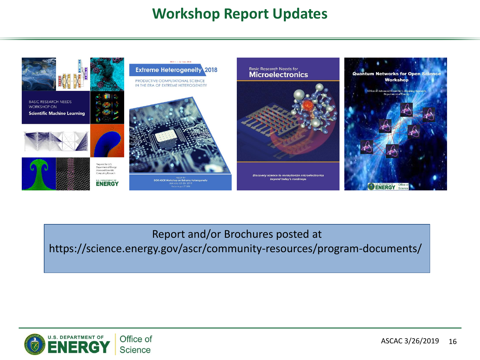### **Workshop Report Updates**



Report and/or Brochures posted at

https://science.energy.gov/ascr/community-resources/program-documents/

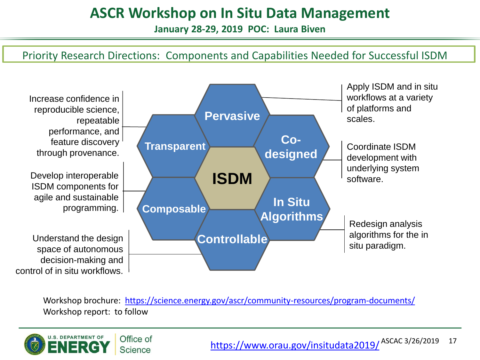### **ASCR Workshop on In Situ Data Management**

**January 28-29, 2019 POC: Laura Biven**

#### Priority Research Directions: Components and Capabilities Needed for Successful ISDM



Workshop brochure: <https://science.energy.gov/ascr/community-resources/program-documents/> Workshop report: to follow

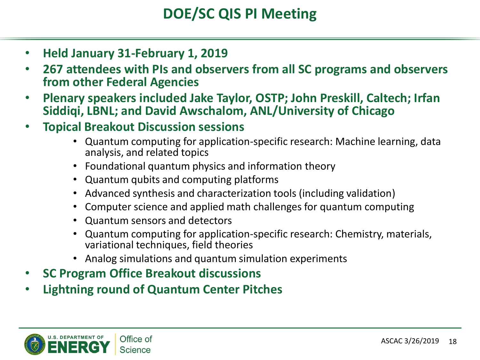- **Held January 31-February 1, 2019**
- **267 attendees with PIs and observers from all SC programs and observers from other Federal Agencies**
- **Plenary speakers included Jake Taylor, OSTP; John Preskill, Caltech; Irfan Siddiqi, LBNL; and David Awschalom, ANL/University of Chicago**
- **Topical Breakout Discussion sessions**
	- Quantum computing for application-specific research: Machine learning, data analysis, and related topics
	- Foundational quantum physics and information theory
	- Quantum qubits and computing platforms
	- Advanced synthesis and characterization tools (including validation)
	- Computer science and applied math challenges for quantum computing
	- Quantum sensors and detectors
	- Quantum computing for application-specific research: Chemistry, materials, variational techniques, field theories
	- Analog simulations and quantum simulation experiments
- **SC Program Office Breakout discussions**
- **Lightning round of Quantum Center Pitches**